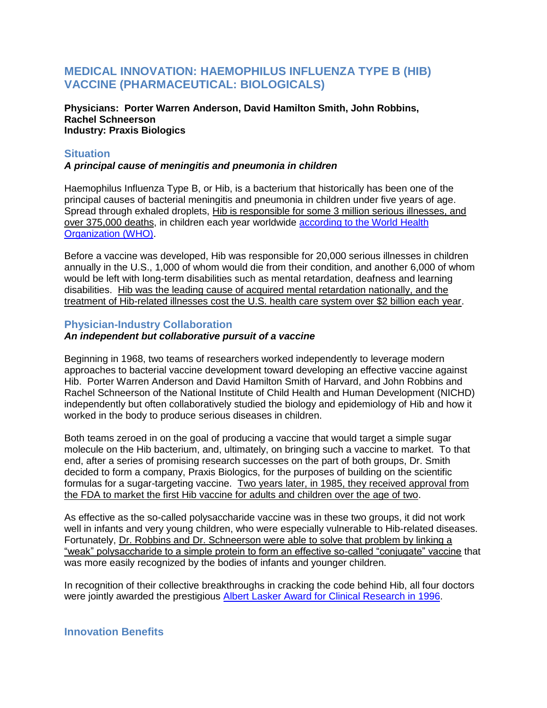# **MEDICAL INNOVATION: HAEMOPHILUS INFLUENZA TYPE B (HIB) VACCINE (PHARMACEUTICAL: BIOLOGICALS)**

**Physicians: Porter Warren Anderson, David Hamilton Smith, John Robbins, Rachel Schneerson Industry: Praxis Biologics**

## **Situation**

#### *A principal cause of meningitis and pneumonia in children*

Haemophilus Influenza Type B, or Hib, is a bacterium that historically has been one of the principal causes of bacterial meningitis and pneumonia in children under five years of age. Spread through exhaled droplets, Hib is responsible for some 3 million serious illnesses, and over 375,000 deaths, in children each year worldwide [according to the](http://www.who.int/mediacentre/factsheets/fs294/en/index.html) World Health **Organization (WHO)**.

Before a vaccine was developed, Hib was responsible for 20,000 serious illnesses in children annually in the U.S., 1,000 of whom would die from their condition, and another 6,000 of whom would be left with long-term disabilities such as mental retardation, deafness and learning disabilities. Hib was the leading cause of acquired mental retardation nationally, and the treatment of Hib-related illnesses cost the U.S. health care system over \$2 billion each year.

## **Physician-Industry Collaboration**

# *An independent but collaborative pursuit of a vaccine*

Beginning in 1968, two teams of researchers worked independently to leverage modern approaches to bacterial vaccine development toward developing an effective vaccine against Hib. Porter Warren Anderson and David Hamilton Smith of Harvard, and John Robbins and Rachel Schneerson of the National Institute of Child Health and Human Development (NICHD) independently but often collaboratively studied the biology and epidemiology of Hib and how it worked in the body to produce serious diseases in children.

Both teams zeroed in on the goal of producing a vaccine that would target a simple sugar molecule on the Hib bacterium, and, ultimately, on bringing such a vaccine to market. To that end, after a series of promising research successes on the part of both groups, Dr. Smith decided to form a company, Praxis Biologics, for the purposes of building on the scientific formulas for a sugar-targeting vaccine. Two years later, in 1985, they received approval from the FDA to market the first Hib vaccine for adults and children over the age of two.

As effective as the so-called polysaccharide vaccine was in these two groups, it did not work well in infants and very young children, who were especially vulnerable to Hib-related diseases. Fortunately, Dr. Robbins and Dr. Schneerson were able to solve that problem by linking a "weak" polysaccharide to a simple protein to form an effective so-called "conjugate" vaccine that was more easily recognized by the bodies of infants and younger children.

In recognition of their collective breakthroughs in cracking the code behind Hib, all four doctors were jointly awarded the prestigious [Albert Lasker Award for Clinical Research in 1996.](http://www.laskerfoundation.org/awards/1996_c_description.htm)

# **Innovation Benefits**